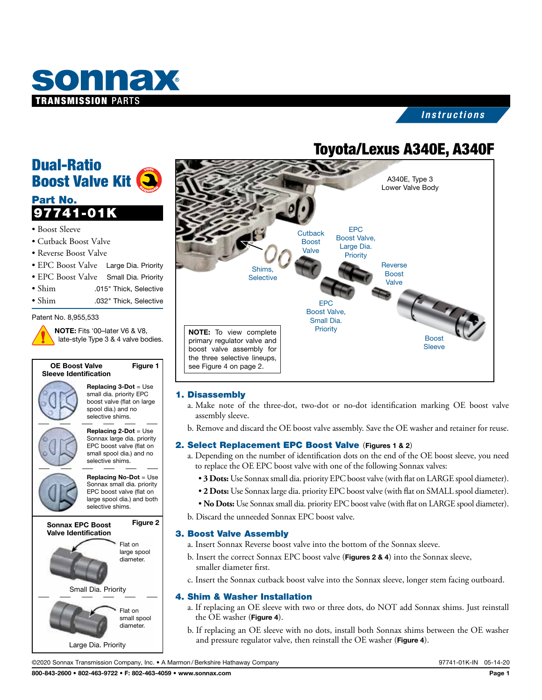

## *Instructions*

## Toyota/Lexus A340E, A340F



## 1. Disassembly

- a. Make note of the three-dot, two-dot or no-dot identification marking OE boost valve assembly sleeve.
- b. Remove and discard the OE boost valve assembly. Save the OE washer and retainer for reuse.

## 2. Select Replacement EPC Boost Valve (Figures 1 & 2)

- a. Depending on the number of identification dots on the end of the OE boost sleeve, you need to replace the OE EPC boost valve with one of the following Sonnax valves:
	- **3 Dots:** Use Sonnax small dia. priority EPC boost valve (with flat on LARGE spool diameter).
	- **2 Dots:** Use Sonnax large dia. priority EPC boost valve (with flat on SMALL spool diameter).
	- **No Dots:** Use Sonnax small dia. priority EPC boost valve (with flat on LARGE spool diameter).
- b. Discard the unneeded Sonnax EPC boost valve.

#### 3. Boost Valve Assembly

- a. Insert Sonnax Reverse boost valve into the bottom of the Sonnax sleeve.
- b. Insert the correct Sonnax EPC boost valve (Figures 2 & 4) into the Sonnax sleeve, smaller diameter first.
- c. Insert the Sonnax cutback boost valve into the Sonnax sleeve, longer stem facing outboard.

#### 4. Shim & Washer Installation

- a. If replacing an OE sleeve with two or three dots, do NOT add Sonnax shims. Just reinstall the OE washer (Figure 4).
- b. If replacing an OE sleeve with no dots, install both Sonnax shims between the OE washer and pressure regulator valve, then reinstall the OE washer (Figure 4).

©2020 Sonnax Transmission Company, Inc. • A Marmon /Berkshire Hathaway Company 97741-01K-IN 05-14-20

Replacing 3-Dot = Use small dia. priority EPC boost valve (flat on large spool dia.) and no selective shims.

NOTE: Fits '00–later V6 & V8,

OE Boost Valve Sleeve Identification

Dual-Ratio

Part No.

• Boost Sleeve

Boost Valve Kit

97741-01K

• Cutback Boost Valve • Reverse Boost Valve

Patent No. 8,955,533

Replacing 2-Dot = Use Sonnax large dia. priority EPC boost valve (flat on small spool dia.) and no selective shims.

Replacing No-Dot = Use Sonnax small dia. priority EPC boost valve (flat on large spool dia.) and both selective shims.

> Flat on large spool diameter.

Flat on small spool diameter.

Sonnax EPC Boost Figure 2

Small Dia. Priority

Large Dia. Priority

Valve Identification